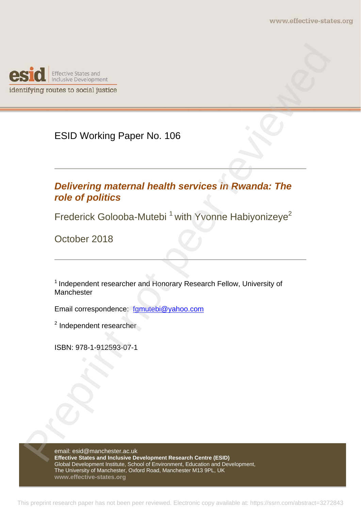

ESID Working Paper No. 106

# *Delivering maternal health services in Rwanda: The role of politics*  **STOL**<br>
Histoire scheened and<br>
Institute to social justice<br>
ESID Working Paper No. 106<br>
<br>
Preprieting maternal health services in Rwanda: The<br>
Preprieting maternal health services in Rwanda: The<br>
Frederick Golooba-Mutebi<sup>1</sup>

Frederick Golooba-Mutebi<sup>1</sup> with Yvonne Habiyonizeye<sup>2</sup>

October 2018

<sup>1</sup> Independent researcher and Honorary Research Fellow, University of Manchester

Email correspondence: fgmutebi@yahoo.com

<sup>2</sup> Independent researcher

ISBN: 978-1-912593-07-1

email: esid@manchester.ac.uk **Effective States and Inclusive Development Research Centre (ESID)**  Global Development Institute, School of Environment, Education and Development, The University of Manchester, Oxford Road, Manchester M13 9PL, UK **www.effective-states.org**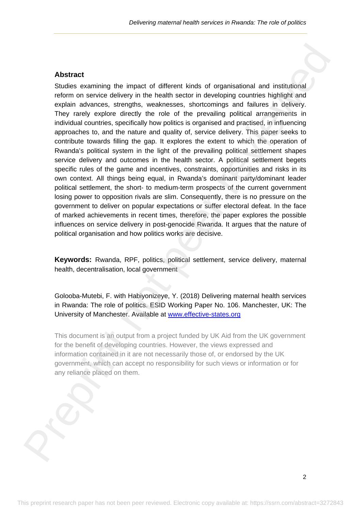## **Abstract**

Studies examining the impact of different kinds of organisational and institutional reform on service delivery in the health sector in developing countries highlight and explain advances, strengths, weaknesses, shortcomings and failures in delivery. They rarely explore directly the role of the prevailing political arrangements in individual countries, specifically how politics is organised and practised, in influencing approaches to, and the nature and quality of, service delivery. This paper seeks to contribute towards filling the gap. It explores the extent to which the operation of Rwanda's political system in the light of the prevailing political settlement shapes service delivery and outcomes in the health sector. A political settlement begets specific rules of the game and incentives, constraints, opportunities and risks in its own context. All things being equal, in Rwanda's dominant party/dominant leader political settlement, the short- to medium-term prospects of the current government losing power to opposition rivals are slim. Consequently, there is no pressure on the government to deliver on popular expectations or suffer electoral defeat. In the face of marked achievements in recent times, therefore, the paper explores the possible influences on service delivery in post-genocide Rwanda. It argues that the nature of political organisation and how politics works are decisive. **Abstract**<br>Sindset and<br>Sindset examining the impact of different kinds of organisational and institutional<br>reform in serion delivery in the health exero in developing countries highlight and<br>organism advances, strengths, w

**Keywords:** Rwanda, RPF, politics, political settlement, service delivery, maternal health, decentralisation, local government

Golooba-Mutebi, F. with Habiyonizeye, Y. (2018) Delivering maternal health services in Rwanda: The role of politics. ESID Working Paper No. 106. Manchester, UK: The University of Manchester. Available at www.effective-states.org

This document is an output from a project funded by UK Aid from the UK government for the benefit of developing countries. However, the views expressed and information contained in it are not necessarily those of, or endorsed by the UK government, which can accept no responsibility for such views or information or for any reliance placed on them.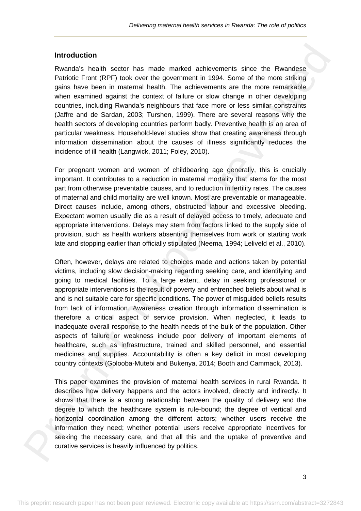#### **Introduction**

Rwanda's health sector has made marked achievements since the Rwandese Patriotic Front (RPF) took over the government in 1994. Some of the more striking gains have been in maternal health. The achievements are the more remarkable when examined against the context of failure or slow change in other developing countries, including Rwanda's neighbours that face more or less similar constraints (Jaffre and de Sardan, 2003; Turshen, 1999). There are several reasons why the health sectors of developing countries perform badly. Preventive health is an area of particular weakness. Household-level studies show that creating awareness through information dissemination about the causes of illness significantly reduces the incidence of ill health (Langwick, 2011; Foley, 2010).

For pregnant women and women of childbearing age generally, this is crucially important. It contributes to a reduction in maternal mortality that stems for the most part from otherwise preventable causes, and to reduction in fertility rates. The causes of maternal and child mortality are well known. Most are preventable or manageable. Direct causes include, among others, obstructed labour and excessive bleeding. Expectant women usually die as a result of delayed access to timely, adequate and appropriate interventions. Delays may stem from factors linked to the supply side of provision, such as health workers absenting themselves from work or starting work late and stopping earlier than officially stipulated (Neema, 1994; Leliveld et al., 2010).

Often, however, delays are related to choices made and actions taken by potential victims, including slow decision-making regarding seeking care, and identifying and going to medical facilities. To a large extent, delay in seeking professional or appropriate interventions is the result of poverty and entrenched beliefs about what is and is not suitable care for specific conditions. The power of misguided beliefs results from lack of information. Awareness creation through information dissemination is therefore a critical aspect of service provision. When neglected, it leads to inadequate overall response to the health needs of the bulk of the population. Other aspects of failure or weakness include poor delivery of important elements of healthcare, such as infrastructure, trained and skilled personnel, and essential medicines and supplies. Accountability is often a key deficit in most developing country contexts (Golooba-Mutebi and Bukenya, 2014; Booth and Cammack, 2013). **Introduction**<br>Rwandship heatits heating marked and marked and<br>Herements since the Rwandship Preprint not performed in 1994. Some of the more striking<br>plans have been in marked health. The adviserements are the more semant

This paper examines the provision of maternal health services in rural Rwanda. It describes how delivery happens and the actors involved, directly and indirectly. It shows that there is a strong relationship between the quality of delivery and the degree to which the healthcare system is rule-bound; the degree of vertical and horizontal coordination among the different actors; whether users receive the information they need; whether potential users receive appropriate incentives for seeking the necessary care, and that all this and the uptake of preventive and curative services is heavily influenced by politics.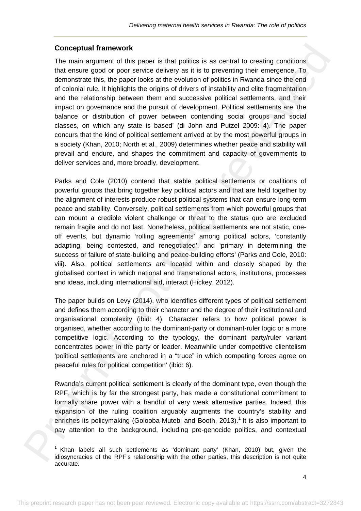## **Conceptual framework**

 

The main argument of this paper is that politics is as central to creating conditions that ensure good or poor service delivery as it is to preventing their emergence. To demonstrate this, the paper looks at the evolution of politics in Rwanda since the end of colonial rule. It highlights the origins of drivers of instability and elite fragmentation and the relationship between them and successive political settlements, and their impact on governance and the pursuit of development. Political settlements are 'the balance or distribution of power between contending social groups and social classes, on which any state is based' (di John and Putzel 2009: 4). The paper concurs that the kind of political settlement arrived at by the most powerful groups in a society (Khan, 2010; North et al., 2009) determines whether peace and stability will prevail and endure, and shapes the commitment and capacity of governments to deliver services and, more broadly, development. Conceptual framework of this paper is that politics is ac control to coasing occidisms. The main argument of this paper is that politics is ac control to the mangement of the main argument of the conceptual framework of c

Parks and Cole (2010) contend that stable political settlements or coalitions of powerful groups that bring together key political actors and that are held together by the alignment of interests produce robust political systems that can ensure long-term peace and stability. Conversely, political settlements from which powerful groups that can mount a credible violent challenge or threat to the status quo are excluded remain fragile and do not last. Nonetheless, political settlements are not static, oneoff events, but dynamic 'rolling agreements' among political actors, 'constantly adapting, being contested, and renegotiated', and 'primary in determining the success or failure of state-building and peace-building efforts' (Parks and Cole, 2010: viii). Also, political settlements are located within and closely shaped by the globalised context in which national and transnational actors, institutions, processes and ideas, including international aid, interact (Hickey, 2012).

The paper builds on Levy (2014), who identifies different types of political settlement and defines them according to their character and the degree of their institutional and organisational complexity (ibid: 4). Character refers to how political power is organised, whether according to the dominant-party or dominant-ruler logic or a more competitive logic. According to the typology, the dominant party/ruler variant concentrates power in the party or leader. Meanwhile under competitive clientelism 'political settlements are anchored in a "truce" in which competing forces agree on peaceful rules for political competition' (ibid: 6).

Rwanda's current political settlement is clearly of the dominant type, even though the RPF, which is by far the strongest party, has made a constitutional commitment to formally share power with a handful of very weak alternative parties. Indeed, this expansion of the ruling coalition arguably augments the country's stability and enriches its policymaking (Golooba-Mutebi and Booth, 2013).<sup>1</sup> It is also important to pay attention to the background, including pre-genocide politics, and contextual

 $<sup>1</sup>$  Khan labels all such settlements as 'dominant party' (Khan, 2010) but, given the</sup> idiosyncracies of the RPF's relationship with the other parties, this description is not quite accurate.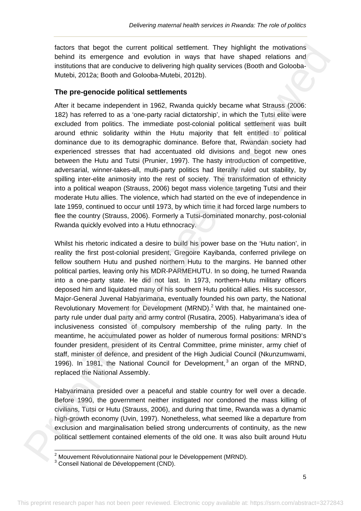factors that begot the current political settlement. They highlight the motivations behind its emergence and evolution in ways that have shaped relations and institutions that are conducive to delivering high quality services (Booth and Golooba-Mutebi, 2012a; Booth and Golooba-Mutebi, 2012b).

# **The pre-genocide political settlements**

After it became independent in 1962, Rwanda quickly became what Strauss (2006: 182) has referred to as a 'one-party racial dictatorship', in which the Tutsi elite were excluded from politics. The immediate post-colonial political settlement was built around ethnic solidarity within the Hutu majority that felt entitled to political dominance due to its demographic dominance. Before that, Rwandan society had experienced stresses that had accentuated old divisions and begot new ones between the Hutu and Tutsi (Prunier, 1997). The hasty introduction of competitive, adversarial, winner-takes-all, multi-party politics had literally ruled out stability, by spilling inter-elite animosity into the rest of society. The transformation of ethnicity into a political weapon (Strauss, 2006) begot mass violence targeting Tutsi and their moderate Hutu allies. The violence, which had started on the eve of independence in late 1959, continued to occur until 1973, by which time it had forced large numbers to flee the country (Strauss, 2006). Formerly a Tutsi-dominated monarchy, post-colonial Rwanda quickly evolved into a Hutu ethnocracy.

Whilst his rhetoric indicated a desire to build his power base on the 'Hutu nation', in reality the first post-colonial president, Gregoire Kayibanda, conferred privilege on fellow southern Hutu and pushed northern Hutu to the margins. He banned other political parties, leaving only his MDR-PARMEHUTU. In so doing, he turned Rwanda into a one-party state. He did not last. In 1973, northern-Hutu military officers deposed him and liquidated many of his southern Hutu political allies. His successor, Major-General Juvenal Habyarimana, eventually founded his own party, the National Revolutionary Movement for Development (MRND).<sup>2</sup> With that, he maintained oneparty rule under dual party and army control (Rusatira, 2005). Habyarimana's idea of inclusiveness consisted of compulsory membership of the ruling party. In the meantime, he accumulated power as holder of numerous formal positions: MRND's founder president, president of its Central Committee, prime minister, army chief of staff, minister of defence, and president of the High Judicial Council (Nkunzumwami, 1996). In 1981, the National Council for Development,  $3$  an organ of the MRND, replaced the National Assembly. factors that hegoel the current political settlement. They highlight the molutaions in the studient of the studient of the studient of the studient of the studient of the studient of the studient of the studient of the stu

Habyarimana presided over a peaceful and stable country for well over a decade. Before 1990, the government neither instigated nor condoned the mass killing of civilians, Tutsi or Hutu (Strauss, 2006), and during that time, Rwanda was a dynamic high-growth economy (Uvin, 1997). Nonetheless, what seemed like a departure from exclusion and marginalisation belied strong undercurrents of continuity, as the new political settlement contained elements of the old one. It was also built around Hutu

 2 Mouvement Révolutionnaire National pour le Développement (MRND).

<sup>&</sup>lt;sup>3</sup> Conseil National de Développement (CND).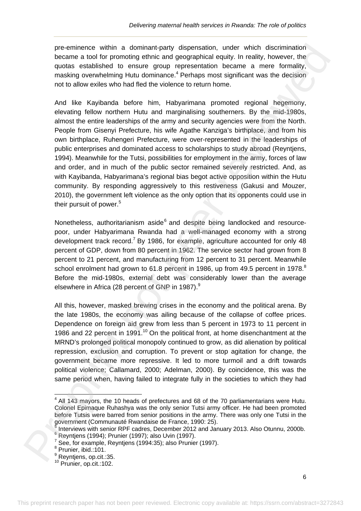pre-eminence within a dominant-party dispensation, under which discrimination became a tool for promoting ethnic and geographical equity. In reality, however, the quotas established to ensure group representation became a mere formality, masking overwhelming Hutu dominance.<sup>4</sup> Perhaps most significant was the decision not to allow exiles who had fled the violence to return home.

And like Kayibanda before him, Habyarimana promoted regional hegemony, elevating fellow northern Hutu and marginalising southerners. By the mid-1980s, almost the entire leaderships of the army and security agencies were from the North. People from Gisenyi Prefecture, his wife Agathe Kanziga's birthplace, and from his own birthplace, Ruhengeri Prefecture, were over-represented in the leaderships of public enterprises and dominated access to scholarships to study abroad (Reyntjens, 1994). Meanwhile for the Tutsi, possibilities for employment in the army, forces of law and order, and in much of the public sector remained severely restricted. And, as with Kayibanda, Habyarimana's regional bias begot active opposition within the Hutu community. By responding aggressively to this restiveness (Gakusi and Mouzer, 2010), the government left violence as the only option that its opponents could use in their pursuit of power.<sup>5</sup> pre-eminence within a dominanty and presentation, unifor which distribution for the presentation of the presentation of the presentation because the presentation because the presentation because the presentation because th

Nonetheless, authoritarianism aside<sup>6</sup> and despite being landlocked and resourcepoor, under Habyarimana Rwanda had a well-managed economy with a strong development track record.<sup>7</sup> By 1986, for example, agriculture accounted for only 48 percent of GDP, down from 80 percent in 1962. The service sector had grown from 8 percent to 21 percent, and manufacturing from 12 percent to 31 percent. Meanwhile school enrolment had grown to 61.8 percent in 1986, up from 49.5 percent in 1978.<sup>8</sup> Before the mid-1980s, external debt was considerably lower than the average elsewhere in Africa (28 percent of GNP in 1987).<sup>9</sup>

All this, however, masked brewing crises in the economy and the political arena. By the late 1980s, the economy was ailing because of the collapse of coffee prices. Dependence on foreign aid grew from less than 5 percent in 1973 to 11 percent in 1986 and 22 percent in 1991.<sup>10</sup> On the political front, at home disenchantment at the MRND's prolonged political monopoly continued to grow, as did alienation by political repression, exclusion and corruption. To prevent or stop agitation for change, the government became more repressive. It led to more turmoil and a drift towards political violence; Callamard, 2000; Adelman, 2000). By coincidence, this was the same period when, having failed to integrate fully in the societies to which they had

 $<sup>4</sup>$  All 143 mayors, the 10 heads of prefectures and 68 of the 70 parliamentarians were Hutu.</sup> Colonel Epimaque Ruhashya was the only senior Tutsi army officer. He had been promoted before Tutsis were barred from senior positions in the army. There was only one Tutsi in the government (Communauté Rwandaise de France, 1990: 25).<br>5 Interviews with conject BBE sodres, Desember 2012 and Jan

Interviews with senior RPF cadres, December 2012 and January 2013. Also Otunnu, 2000b. 6

<sup>&</sup>lt;sup>6</sup> Reyntjens (1994); Prunier (1997); also Uvin (1997).

 $7$  See, for example, Reyntjens (1994:35); also Prunier (1997).

<sup>8</sup> Prunier, ibid.:101.

<sup>&</sup>lt;sup>9</sup> Reyntjens, op.cit.:35.

<sup>&</sup>lt;sup>10</sup> Prunier, op.cit.:102.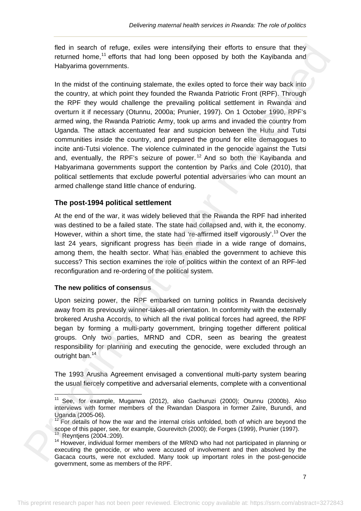fled in search of refuge, exiles were intensifying their efforts to ensure that they returned home,<sup>11</sup> efforts that had long been opposed by both the Kayibanda and Habyarima governments.

In the midst of the continuing stalemate, the exiles opted to force their way back into the country, at which point they founded the Rwanda Patriotic Front (RPF). Through the RPF they would challenge the prevailing political settlement in Rwanda and overturn it if necessary (Otunnu, 2000a; Prunier, 1997). On 1 October 1990, RPF's armed wing, the Rwanda Patriotic Army, took up arms and invaded the country from Uganda. The attack accentuated fear and suspicion between the Hutu and Tutsi communities inside the country, and prepared the ground for elite demagogues to incite anti-Tutsi violence. The violence culminated in the genocide against the Tutsi and, eventually, the RPF's seizure of power,  $12$  And so both the Kavibanda and Habyarimana governments support the contention by Parks and Cole (2010), that political settlements that exclude powerful potential adversaries who can mount an armed challenge stand little chance of enduring. field in esacth of retinge, eatles were intensifying their efforts to ensure that they are<br>from the matter of representation of the intensifying the efforts to ensure that they become<br>the county, at which point they founde

# **The post-1994 political settlement**

At the end of the war, it was widely believed that the Rwanda the RPF had inherited was destined to be a failed state. The state had collapsed and, with it, the economy. However, within a short time, the state had 're-affirmed itself vigorously'.<sup>13</sup> Over the last 24 years, significant progress has been made in a wide range of domains, among them, the health sector. What has enabled the government to achieve this success? This section examines the role of politics within the context of an RPF-led reconfiguration and re-ordering of the political system.

## **The new politics of consensus**

Upon seizing power, the RPF embarked on turning politics in Rwanda decisively away from its previously winner-takes-all orientation. In conformity with the externally brokered Arusha Accords, to which all the rival political forces had agreed, the RPF began by forming a multi-party government, bringing together different political groups. Only two parties, MRND and CDR, seen as bearing the greatest responsibility for planning and executing the genocide, were excluded through an outright ban.<sup>14</sup>

The 1993 Arusha Agreement envisaged a conventional multi-party system bearing the usual fiercely competitive and adversarial elements, complete with a conventional

 <sup>11</sup> See, for example, Muganwa (2012), also Gachuruzi (2000); Otunnu (2000b). Also interviews with former members of the Rwandan Diaspora in former Zaïre, Burundi, and Uganda (2005-06).

 $12$  For details of how the war and the internal crisis unfolded, both of which are beyond the scope of this paper, see, for example, Gourevitch (2000); de Forges (1999), Prunier (1997).

<sup>&</sup>lt;sup>13</sup> Reyntjens (2004.:209).<br><sup>14</sup> However, individual former members of the MRND who had not participated in planning or executing the genocide, or who were accused of involvement and then absolved by the Gacaca courts, were not excluded. Many took up important roles in the post-genocide government, some as members of the RPF.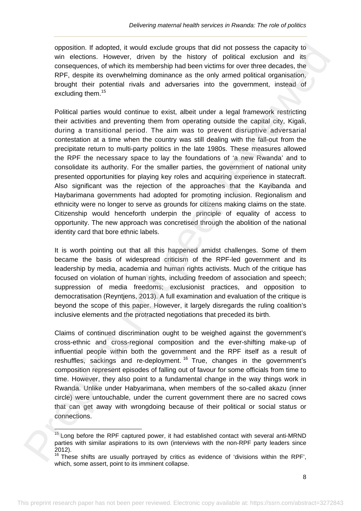opposition. If adopted, it would exclude groups that did not possess the capacity to win elections. However, driven by the history of political exclusion and its consequences, of which its membership had been victims for over three decades, the RPF, despite its overwhelming dominance as the only armed political organisation, brought their potential rivals and adversaries into the government, instead of excluding them.<sup>15</sup>

Political parties would continue to exist, albeit under a legal framework restricting their activities and preventing them from operating outside the capital city, Kigali, during a transitional period. The aim was to prevent disruptive adversarial contestation at a time when the country was still dealing with the fall-out from the precipitate return to multi-party politics in the late 1980s. These measures allowed the RPF the necessary space to lay the foundations of 'a new Rwanda' and to consolidate its authority. For the smaller parties, the government of national unity presented opportunities for playing key roles and acquiring experience in statecraft. Also significant was the rejection of the approaches that the Kayibanda and Haybarimana governments had adopted for promoting inclusion. Regionalism and ethnicity were no longer to serve as grounds for citizens making claims on the state. Citizenship would henceforth underpin the principle of equality of access to opportunity. The new approach was concretised through the abolition of the national identity card that bore ethnic labels. opposition. If adopted it would estudie groups that dul of outcoses the espacing to meer represent the same reviewed propose that dul on possess the espacing of the present of the same RPs. The consequences, of which its

It is worth pointing out that all this happened amidst challenges. Some of them became the basis of widespread criticism of the RPF-led government and its leadership by media, academia and human rights activists. Much of the critique has focused on violation of human rights, including freedom of association and speech; suppression of media freedoms; exclusionist practices, and opposition to democratisation (Reyntjens, 2013). A full examination and evaluation of the critique is beyond the scope of this paper. However, it largely disregards the ruling coalition's inclusive elements and the protracted negotiations that preceded its birth.

Claims of continued discrimination ought to be weighed against the government's cross-ethnic and cross-regional composition and the ever-shifting make-up of influential people within both the government and the RPF itself as a result of reshuffles, sackings and re-deployment. 16 True, changes in the government's composition represent episodes of falling out of favour for some officials from time to time. However, they also point to a fundamental change in the way things work in Rwanda. Unlike under Habyarimana, when members of the so-called akazu (inner circle) were untouchable, under the current government there are no sacred cows that can get away with wrongdoing because of their political or social status or connections.

 $15$  Long before the RPF captured power, it had established contact with several anti-MRND parties with similar aspirations to its own (interviews with the non-RPF party leaders since 2012).

<sup>&</sup>lt;sup>16</sup> These shifts are usually portrayed by critics as evidence of 'divisions within the RPF', which, some assert, point to its imminent collapse.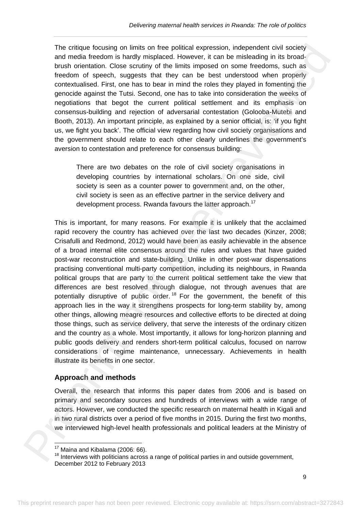The critique focusing on limits on free political expression, independent civil society and media freedom is hardly misplaced. However, it can be misleading in its broadbrush orientation. Close scrutiny of the limits imposed on some freedoms, such as freedom of speech, suggests that they can be best understood when properly contextualised. First, one has to bear in mind the roles they played in fomenting the genocide against the Tutsi. Second, one has to take into consideration the weeks of negotiations that begot the current political settlement and its emphasis on consensus-building and rejection of adversarial contestation (Golooba-Mutebi and Booth, 2013). An important principle, as explained by a senior official, is: 'if you fight us, we fight you back'. The official view regarding how civil society organisations and the government should relate to each other clearly underlines the government's aversion to contestation and preference for consensus building:

There are two debates on the role of civil society organisations in developing countries by international scholars. On one side, civil society is seen as a counter power to government and, on the other, civil society is seen as an effective partner in the service delivery and development process. Rwanda favours the latter approach.<sup>17</sup>

This is important, for many reasons. For example it is unlikely that the acclaimed rapid recovery the country has achieved over the last two decades (Kinzer, 2008; Crisafulli and Redmond, 2012) would have been as easily achievable in the absence of a broad internal elite consensus around the rules and values that have guided post-war reconstruction and state-building. Unlike in other post-war dispensations practising conventional multi-party competition, including its neighbours, in Rwanda political groups that are party to the current political settlement take the view that differences are best resolved through dialogue, not through avenues that are potentially disruptive of public order.<sup>18</sup> For the government, the benefit of this approach lies in the way it strengthens prospects for long-term stability by, among other things, allowing meagre resources and collective efforts to be directed at doing those things, such as service delivery, that serve the interests of the ordinary citizen and the country as a whole. Most importantly, it allows for long-horizon planning and public goods delivery and renders short-term political calculus, focused on narrow considerations of regime maintenance, unnecessary. Achievements in health illustrate its benefits in one sector. The critique forcesing on limits on free political expression, independent olvit society<br>and modia incoden is have modes in the minis imposed on some dreaded principal based<br>based modesline, Glose scruting with the limits

## **Approach and methods**

Overall, the research that informs this paper dates from 2006 and is based on primary and secondary sources and hundreds of interviews with a wide range of actors. However, we conducted the specific research on maternal health in Kigali and in two rural districts over a period of five months in 2015. During the first two months, we interviewed high-level health professionals and political leaders at the Ministry of

 $17$  Maina and Kibalama (2006: 66).

<sup>&</sup>lt;sup>18</sup> Interviews with politicians across a range of political parties in and outside government, December 2012 to February 2013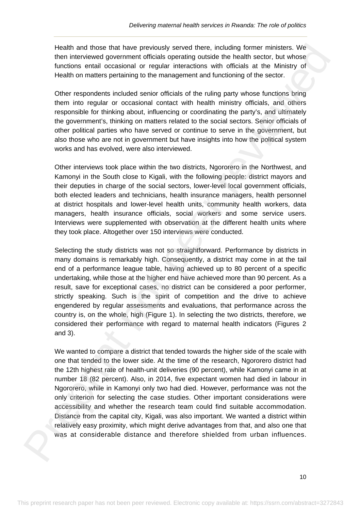Health and those that have previously served there, including former ministers. We then interviewed government officials operating outside the health sector, but whose functions entail occasional or regular interactions with officials at the Ministry of Health on matters pertaining to the management and functioning of the sector.

Other respondents included senior officials of the ruling party whose functions bring them into regular or occasional contact with health ministry officials, and others responsible for thinking about, influencing or coordinating the party's, and ultimately the government's, thinking on matters related to the social sectors. Senior officials of other political parties who have served or continue to serve in the government, but also those who are not in government but have insights into how the political system works and has evolved, were also interviewed.

Other interviews took place within the two districts, Ngororero in the Northwest, and Kamonyi in the South close to Kigali, with the following people: district mayors and their deputies in charge of the social sectors, lower-level local government officials, both elected leaders and technicians, health insurance managers, health personnel at district hospitals and lower-level health units, community health workers, data managers, health insurance officials, social workers and some service users. Interviews were supplemented with observation at the different health units where they took place. Altogether over 150 interviews were conducted.

Selecting the study districts was not so straightforward. Performance by districts in many domains is remarkably high. Consequently, a district may come in at the tail end of a performance league table, having achieved up to 80 percent of a specific undertaking, while those at the higher end have achieved more than 90 percent. As a result, save for exceptional cases, no district can be considered a poor performer, strictly speaking. Such is the spirit of competition and the drive to achieve engendered by regular assessments and evaluations, that performance across the country is, on the whole, high (Figure 1). In selecting the two districts, therefore, we considered their performance with regard to maternal health indicators (Figures 2 and 3). Health med from the reviewed from the previewed from the instant in of the ministers. We can be minister to the minister of the minister of the minister of the minister of the minister of the minister of the minister of th

We wanted to compare a district that tended towards the higher side of the scale with one that tended to the lower side. At the time of the research, Ngororero district had the 12th highest rate of health-unit deliveries (90 percent), while Kamonyi came in at number 18 (82 percent). Also, in 2014, five expectant women had died in labour in Ngororero, while in Kamonyi only two had died. However, performance was not the only criterion for selecting the case studies. Other important considerations were accessibility and whether the research team could find suitable accommodation. Distance from the capital city, Kigali, was also important. We wanted a district within relatively easy proximity, which might derive advantages from that, and also one that was at considerable distance and therefore shielded from urban influences.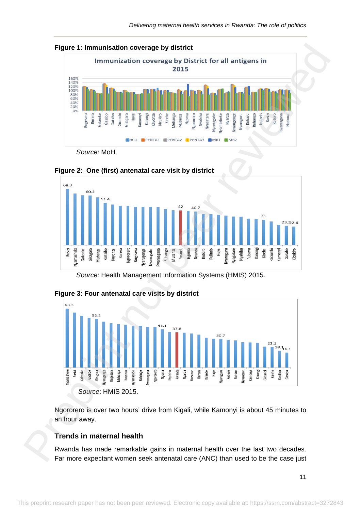







*Source*: Health Management Information Systems (HMIS) 2015.



## **Figure 3: Four antenatal care visits by district**

Ngororero is over two hours' drive from Kigali, while Kamonyi is about 45 minutes to an hour away.

# **Trends in maternal health**

Rwanda has made remarkable gains in maternal health over the last two decades. Far more expectant women seek antenatal care (ANC) than used to be the case just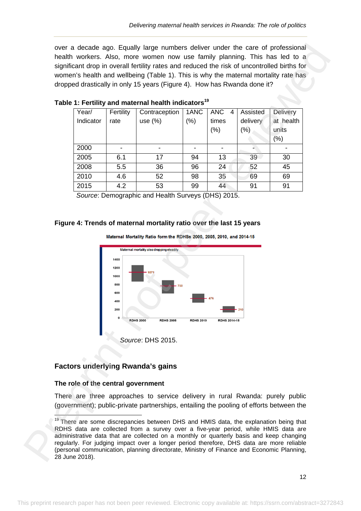|                                    |                   | Table 1: Fertility and maternal health indicators <sup>19</sup> |                          |                                  |                              |                                               |
|------------------------------------|-------------------|-----------------------------------------------------------------|--------------------------|----------------------------------|------------------------------|-----------------------------------------------|
| Year/<br>Indicator                 | Fertility<br>rate | Contraception<br>use $(\%)$                                     | 1ANC<br>$(\% )$          | <b>ANC</b><br>4<br>times<br>(% ) | Assisted<br>delivery<br>(% ) | <b>Delivery</b><br>at health<br>units<br>(% ) |
| 2000                               |                   | $\overline{\phantom{0}}$                                        | $\overline{\phantom{a}}$ |                                  |                              |                                               |
| 2005                               | 6.1               | 17                                                              | 94                       | 13                               | 39                           | 30                                            |
| 2008                               | 5.5               | 36                                                              | 96                       | 24                               | 52                           | 45                                            |
| 2010                               | 4.6               | 52                                                              | 98                       | 35                               | 69                           | 69                                            |
| 2015                               | 4.2               | 53                                                              | 99                       | 44                               | 91                           | 91                                            |
|                                    |                   | Source: Demographic and Health Surveys (DHS) 2015.              |                          |                                  |                              |                                               |
|                                    | 1000<br>800       |                                                                 |                          |                                  |                              |                                               |
|                                    | 600<br>400<br>200 | <b>RDHS 2000</b><br><b>RDHS 2005</b>                            | <b>RDHS 2010</b>         | <b>RDHS 2014-15</b>              |                              |                                               |
|                                    |                   | Source: DHS 2015.                                               |                          |                                  |                              |                                               |
|                                    |                   | <b>Factors underlying Rwanda's gains</b>                        |                          |                                  |                              |                                               |
| The role of the central government |                   |                                                                 |                          |                                  |                              |                                               |

#### **Table 1: Fertility and maternal health indicators<sup>19</sup>**

# **Figure 4: Trends of maternal mortality ratio over the last 15 years**



# **Factors underlying Rwanda's gains**

## **The role of the central government**

<sup>&</sup>lt;sup>19</sup> There are some discrepancies between DHS and HMIS data, the explanation being that RDHS data are collected from a survey over a five-year period, while HMIS data are administrative data that are collected on a monthly or quarterly basis and keep changing regularly. For judging impact over a longer period therefore, DHS data are more reliable (personal communication, planning directorate, Ministry of Finance and Economic Planning, 28 June 2018).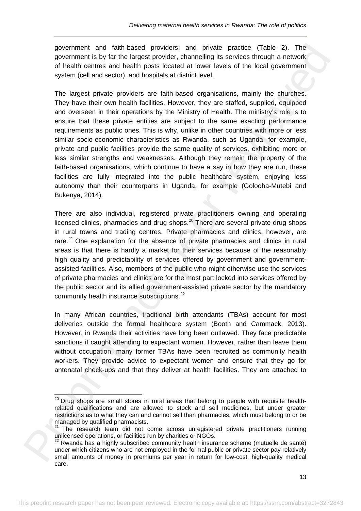government and faith-based providers; and private practice (Table 2). The government is by far the largest provider, channelling its services through a network of health centres and health posts located at lower levels of the local government system (cell and sector), and hospitals at district level.

The largest private providers are faith-based organisations, mainly the churches. They have their own health facilities. However, they are staffed, supplied, equipped and overseen in their operations by the Ministry of Health. The ministry's role is to ensure that these private entities are subject to the same exacting performance requirements as public ones. This is why, unlike in other countries with more or less similar socio-economic characteristics as Rwanda, such as Uganda, for example, private and public facilities provide the same quality of services, exhibiting more or less similar strengths and weaknesses. Although they remain the property of the faith-based organisations, which continue to have a say in how they are run, these facilities are fully integrated into the public healthcare system, enjoying less autonomy than their counterparts in Uganda, for example (Golooba-Mutebi and Bukenya, 2014). government and faith-based provider, and private practice (Table 2). The preprint not detect in the present reviewed by the content of the content of the content of the content of the content of the content of the content

There are also individual, registered private practitioners owning and operating licensed clinics, pharmacies and drug shops. $20$  There are several private drug shops in rural towns and trading centres. Private pharmacies and clinics, however, are rare.<sup>21</sup> One explanation for the absence of private pharmacies and clinics in rural areas is that there is hardly a market for their services because of the reasonably high quality and predictability of services offered by government and governmentassisted facilities. Also, members of the public who might otherwise use the services of private pharmacies and clinics are for the most part locked into services offered by the public sector and its allied government-assisted private sector by the mandatory community health insurance subscriptions.<sup>22</sup>

In many African countries, traditional birth attendants (TBAs) account for most deliveries outside the formal healthcare system (Booth and Cammack, 2013). However, in Rwanda their activities have long been outlawed. They face predictable sanctions if caught attending to expectant women. However, rather than leave them without occupation, many former TBAs have been recruited as community health workers. They provide advice to expectant women and ensure that they go for antenatal check-ups and that they deliver at health facilities. They are attached to

 $^{20}$  Drug shops are small stores in rural areas that belong to people with requisite healthrelated qualifications and are allowed to stock and sell medicines, but under greater restrictions as to what they can and cannot sell than pharmacies, which must belong to or be managed by qualified pharmacists.

 $21$  The research team did not come across unregistered private practitioners running unlicensed operations, or facilities run by charities or NGOs.

<sup>22</sup> Rwanda has a highly subscribed community health insurance scheme (mutuelle de santé) under which citizens who are not employed in the formal public or private sector pay relatively small amounts of money in premiums per year in return for low-cost, high-quality medical care.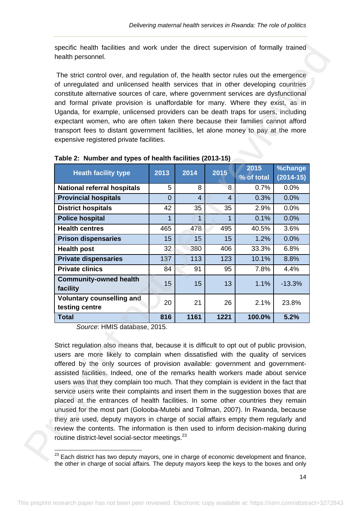| The strict control over, and regulation of, the health sector rules out the emergence                                                                                                                                                                                                                                                          |                                                                             |                |                |            |             |  |  |  |
|------------------------------------------------------------------------------------------------------------------------------------------------------------------------------------------------------------------------------------------------------------------------------------------------------------------------------------------------|-----------------------------------------------------------------------------|----------------|----------------|------------|-------------|--|--|--|
| of unregulated and unlicensed health services that in other developing countries<br>constitute alternative sources of care, where government services are dysfunctional<br>and formal private provision is unaffordable for many. Where they exist, as in<br>Uganda, for example, unlicensed providers can be death traps for users, including |                                                                             |                |                |            |             |  |  |  |
| expectant women, who are often taken there because their families cannot afford<br>transport fees to distant government facilities, let alone money to pay at the more                                                                                                                                                                         |                                                                             |                |                |            |             |  |  |  |
| expensive registered private facilities.                                                                                                                                                                                                                                                                                                       |                                                                             |                |                |            |             |  |  |  |
|                                                                                                                                                                                                                                                                                                                                                |                                                                             |                |                |            |             |  |  |  |
|                                                                                                                                                                                                                                                                                                                                                | Table 2: Number and types of health facilities (2013-15)<br>2015<br>%change |                |                |            |             |  |  |  |
| <b>Heath facility type</b>                                                                                                                                                                                                                                                                                                                     | 2013                                                                        | 2014           | 2015           | % of total | $(2014-15)$ |  |  |  |
| <b>National referral hospitals</b>                                                                                                                                                                                                                                                                                                             | 5                                                                           | 8              | 8              | 0.7%       | 0.0%        |  |  |  |
| <b>Provincial hospitals</b>                                                                                                                                                                                                                                                                                                                    | $\mathbf 0$                                                                 | $\overline{4}$ | $\overline{4}$ | 0.3%       | 0.0%        |  |  |  |
| <b>District hospitals</b>                                                                                                                                                                                                                                                                                                                      | 42                                                                          | 35             | 35             | 2.9%       | 0.0%        |  |  |  |
| <b>Police hospital</b>                                                                                                                                                                                                                                                                                                                         | 1                                                                           | $\overline{1}$ | 1              | 0.1%       | 0.0%        |  |  |  |
| <b>Health centres</b>                                                                                                                                                                                                                                                                                                                          | 465                                                                         | 478            | 495            | 40.5%      | 3.6%        |  |  |  |
| <b>Prison dispensaries</b>                                                                                                                                                                                                                                                                                                                     | 15                                                                          | 15             | 15             | 1.2%       | 0.0%        |  |  |  |
| <b>Health post</b>                                                                                                                                                                                                                                                                                                                             | 32                                                                          | 380            | 406            | 33.3%      | 6.8%        |  |  |  |
| <b>Private dispensaries</b>                                                                                                                                                                                                                                                                                                                    | 137                                                                         | 113            | 123            | 10.1%      | 8.8%        |  |  |  |
| <b>Private clinics</b>                                                                                                                                                                                                                                                                                                                         | 84                                                                          | 91             | 95             | 7.8%       | 4.4%        |  |  |  |
| <b>Community-owned health</b><br>facility                                                                                                                                                                                                                                                                                                      | 15                                                                          | 15             | 13             | 1.1%       | $-13.3%$    |  |  |  |
| <b>Voluntary counselling and</b><br>testing centre                                                                                                                                                                                                                                                                                             | 20                                                                          | 21             | 26             | 2.1%       | 23.8%       |  |  |  |
| Total                                                                                                                                                                                                                                                                                                                                          | 816                                                                         | 1161           | 1221           | 100.0%     | 5.2%        |  |  |  |
| Source: HMIS database, 2015.<br>Strict regulation also means that, because it is difficult to opt out of public provision,                                                                                                                                                                                                                     |                                                                             |                |                |            |             |  |  |  |
| users are more likely to complain when dissatisfied with the quality of services<br>offered by the only sources of provision available: government and government-<br>assisted facilities. Indeed, one of the remarks health workers made about service                                                                                        |                                                                             |                |                |            |             |  |  |  |
| users was that they complain too much. That they complain is evident in the fact that<br>service users write their complaints and insert them in the suggestion boxes that are<br>placed at the entrances of health facilities. In some other countries they remain                                                                            |                                                                             |                |                |            |             |  |  |  |
| unused for the most part (Golooba-Mutebi and Tollman, 2007). In Rwanda, because<br>they are used, deputy mayors in charge of social affairs empty them regularly and                                                                                                                                                                           |                                                                             |                |                |            |             |  |  |  |
| review the contents. The information is then used to inform decision-making during                                                                                                                                                                                                                                                             |                                                                             |                |                |            |             |  |  |  |

**Table 2: Number and types of health facilities (2013-15)**

 $23$  Each district has two deputy mayors, one in charge of economic development and finance, the other in charge of social affairs. The deputy mayors keep the keys to the boxes and only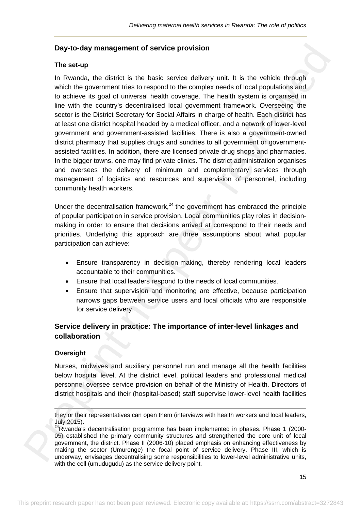## **Day-to-day management of service provision**

#### **The set-up**

In Rwanda, the district is the basic service delivery unit. It is the vehicle through which the government tries to respond to the complex needs of local populations and to achieve its goal of universal health coverage. The health system is organised in line with the country's decentralised local government framework. Overseeing the sector is the District Secretary for Social Affairs in charge of health. Each district has at least one district hospital headed by a medical officer, and a network of lower-level government and government-assisted facilities. There is also a government-owned district pharmacy that supplies drugs and sundries to all government or governmentassisted facilities. In addition, there are licensed private drug shops and pharmacies. In the bigger towns, one may find private clinics. The district administration organises and oversees the delivery of minimum and complementary services through management of logistics and resources and supervision of personnel, including community health workers. Day to-day management of service provision<br>The set-up<br><br>The Reach, the district is the basic service delivery unit. It is the vehicle broady<br>wish the government tries to resonat on the complex needs of considerations and<br>to

Under the decentralisation framework.<sup>24</sup> the government has embraced the principle of popular participation in service provision. Local communities play roles in decisionmaking in order to ensure that decisions arrived at correspond to their needs and priorities. Underlying this approach are three assumptions about what popular participation can achieve:

- Ensure transparency in decision-making, thereby rendering local leaders accountable to their communities.
- Ensure that local leaders respond to the needs of local communities.
- Ensure that supervision and monitoring are effective, because participation narrows gaps between service users and local officials who are responsible for service delivery.

# **Service delivery in practice: The importance of inter-level linkages and collaboration**

#### **Oversight**

Nurses, midwives and auxiliary personnel run and manage all the health facilities below hospital level. At the district level, political leaders and professional medical personnel oversee service provision on behalf of the Ministry of Health. Directors of district hospitals and their (hospital-based) staff supervise lower-level health facilities

 $\overline{1}$ they or their representatives can open them (interviews with health workers and local leaders, July 2015).

<sup>&</sup>lt;sup>24</sup>Rwanda's decentralisation programme has been implemented in phases. Phase 1 (2000-05) established the primary community structures and strengthened the core unit of local government, the district. Phase II (2006-10) placed emphasis on enhancing effectiveness by making the sector (Umurenge) the focal point of service delivery. Phase III, which is underway, envisages decentralising some responsibilities to lower-level administrative units, with the cell (umudugudu) as the service delivery point.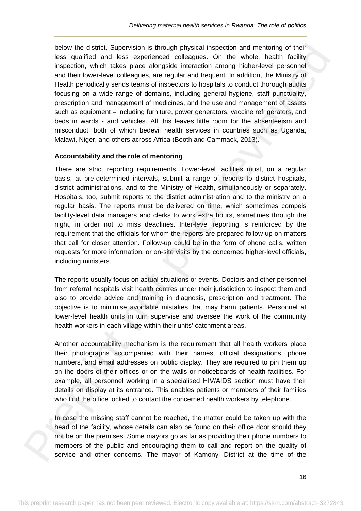below the district. Supervision is through physical inspection and mentoring of their less qualified and less experienced colleagues. On the whole, health facility inspection, which takes place alongside interaction among higher-level personnel and their lower-level colleagues, are regular and frequent. In addition, the Ministry of Health periodically sends teams of inspectors to hospitals to conduct thorough audits focusing on a wide range of domains, including general hygiene, staff punctuality, prescription and management of medicines, and the use and management of assets such as equipment – including furniture, power generators, vaccine refrigerators, and beds in wards - and vehicles. All this leaves little room for the absenteeism and misconduct, both of which bedevil health services in countries such as Uganda, Malawi, Niger, and others across Africa (Booth and Cammack, 2013).

#### **Accountability and the role of mentoring**

There are strict reporting requirements. Lower-level facilities must, on a regular basis, at pre-determined intervals, submit a range of reports to district hospitals, district administrations, and to the Ministry of Health, simultaneously or separately. Hospitals, too, submit reports to the district administration and to the ministry on a regular basis. The reports must be delivered on time, which sometimes compels facility-level data managers and clerks to work extra hours, sometimes through the night, in order not to miss deadlines. Inter-level reporting is reinforced by the requirement that the officials for whom the reports are prepared follow up on matters that call for closer attention. Follow-up could be in the form of phone calls, written requests for more information, or on-site visits by the concerned higher-level officials, including ministers. below the distinct Superviston is through physical insepection and menoloning of their mappetion and menoloning of the mappetic interaction, which takes place and their lowels place and their lowels place and their lowels

The reports usually focus on actual situations or events. Doctors and other personnel from referral hospitals visit health centres under their jurisdiction to inspect them and also to provide advice and training in diagnosis, prescription and treatment. The objective is to minimise avoidable mistakes that may harm patients. Personnel at lower-level health units in turn supervise and oversee the work of the community health workers in each village within their units' catchment areas.

Another accountability mechanism is the requirement that all health workers place their photographs accompanied with their names, official designations, phone numbers, and email addresses on public display. They are required to pin them up on the doors of their offices or on the walls or noticeboards of health facilities. For example, all personnel working in a specialised HIV/AIDS section must have their details on display at its entrance. This enables patients or members of their families who find the office locked to contact the concerned health workers by telephone.

In case the missing staff cannot be reached, the matter could be taken up with the head of the facility, whose details can also be found on their office door should they not be on the premises. Some mayors go as far as providing their phone numbers to members of the public and encouraging them to call and report on the quality of service and other concerns. The mayor of Kamonyi District at the time of the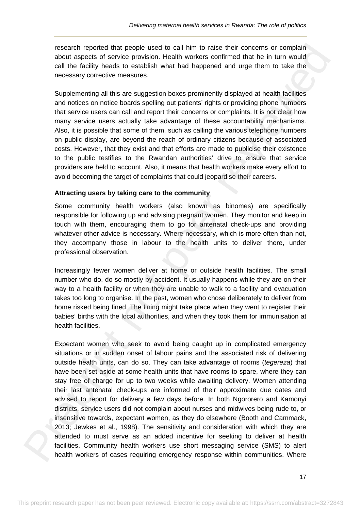research reported that people used to call him to raise their concerns or complain about aspects of service provision. Health workers confirmed that he in turn would call the facility heads to establish what had happened and urge them to take the necessary corrective measures.

Supplementing all this are suggestion boxes prominently displayed at health facilities and notices on notice boards spelling out patients' rights or providing phone numbers that service users can call and report their concerns or complaints. It is not clear how many service users actually take advantage of these accountability mechanisms. Also, it is possible that some of them, such as calling the various telephone numbers on public display, are beyond the reach of ordinary citizens because of associated costs. However, that they exist and that efforts are made to publicise their existence to the public testifies to the Rwandan authorities' drive to ensure that service providers are held to account. Also, it means that health workers make every effort to avoid becoming the target of complaints that could jeopardise their careers.

#### **Attracting users by taking care to the community**

Some community health workers (also known as binomes) are specifically responsible for following up and advising pregnant women. They monitor and keep in touch with them, encouraging them to go for antenatal check-ups and providing whatever other advice is necessary. Where necessary, which is more often than not, they accompany those in labour to the health units to deliver there, under professional observation.

Increasingly fewer women deliver at home or outside health facilities. The small number who do, do so mostly by accident. It usually happens while they are on their way to a health facility or when they are unable to walk to a facility and evacuation takes too long to organise. In the past, women who chose deliberately to deliver from home risked being fined. The fining might take place when they went to register their babies' births with the local authorities, and when they took them for immunisation at health facilities.

Expectant women who seek to avoid being caught up in complicated emergency situations or in sudden onset of labour pains and the associated risk of delivering outside health units, can do so. They can take advantage of rooms (*tegereza*) that have been set aside at some health units that have rooms to spare, where they can stay free of charge for up to two weeks while awaiting delivery. Women attending their last antenatal check-ups are informed of their approximate due dates and advised to report for delivery a few days before. In both Ngororero and Kamonyi districts, service users did not complain about nurses and midwives being rude to, or insensitive towards, expectant women, as they do elsewhere (Booth and Cammack, 2013; Jewkes et al., 1998). The sensitivity and consideration with which they are attended to must serve as an added incentive for seeking to deliver at health facilities. Community health workers use short messaging service (SMS) to alert health workers of cases requiring emergency response within communities. Where reasant reported that people used to call him to rate their concerns or complain<br>tool, aspects of social by the call the continuents can be the calculation of the calculation<br>of the facinity heads to establish what had hap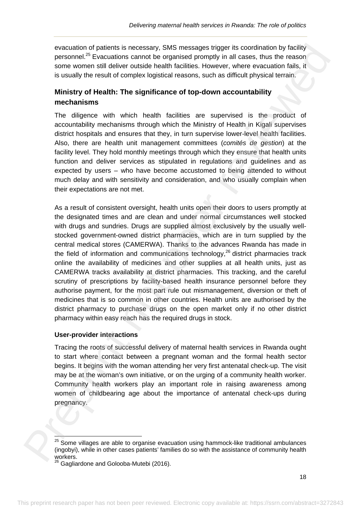evacuation of patients is necessary, SMS messages trigger its coordination by facility personnel.<sup>25</sup> Evacuations cannot be organised promptly in all cases, thus the reason some women still deliver outside health facilities. However, where evacuation fails, it is usually the result of complex logistical reasons, such as difficult physical terrain.

# **Ministry of Health: The significance of top-down accountability mechanisms**

The diligence with which health facilities are supervised is the product of accountability mechanisms through which the Ministry of Health in Kigali supervises district hospitals and ensures that they, in turn supervise lower-level health facilities. Also, there are health unit management committees (*comités de gestion*) at the facility level. They hold monthly meetings through which they ensure that health units function and deliver services as stipulated in regulations and guidelines and as expected by users – who have become accustomed to being attended to without much delay and with sensitivity and consideration, and who usually complain when their expectations are not met.

As a result of consistent oversight, health units open their doors to users promptly at the designated times and are clean and under normal circumstances well stocked with drugs and sundries. Drugs are supplied almost exclusively by the usually wellstocked government-owned district pharmacies, which are in turn supplied by the central medical stores (CAMERWA). Thanks to the advances Rwanda has made in the field of information and communications technology,  $26$  district pharmacies track online the availability of medicines and other supplies at all health units, just as CAMERWA tracks availability at district pharmacies. This tracking, and the careful scrutiny of prescriptions by facility-based health insurance personnel before they authorise payment, for the most part rule out mismanagement, diversion or theft of medicines that is so common in other countries. Health units are authorised by the district pharmacy to purchase drugs on the open market only if no other district pharmacy within easy reach has the required drugs in stock. evocution of pelicinis is necessary. SMS messages ringer its condination by fixelling to personnel of periodic original is continued by the case present in the sum of the state of the continued in the sum of the state of t

#### **User-provider interactions**

Tracing the roots of successful delivery of maternal health services in Rwanda ought to start where contact between a pregnant woman and the formal health sector begins. It begins with the woman attending her very first antenatal check-up. The visit may be at the woman's own initiative, or on the urging of a community health worker. Community health workers play an important role in raising awareness among women of childbearing age about the importance of antenatal check-ups during pregnancy.

 $25$  Some villages are able to organise evacuation using hammock-like traditional ambulances (ingobyi), while in other cases patients' families do so with the assistance of community health workers.

 $26$  Gagliardone and Golooba-Mutebi (2016).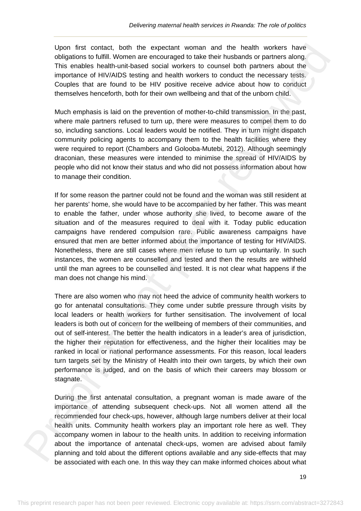Upon first contact, both the expectant woman and the health workers have obligations to fulfill. Women are encouraged to take their husbands or partners along. This enables health-unit-based social workers to counsel both partners about the importance of HIV/AIDS testing and health workers to conduct the necessary tests. Couples that are found to be HIV positive receive advice about how to conduct themselves henceforth, both for their own wellbeing and that of the unborn child.

Much emphasis is laid on the prevention of mother-to-child transmission. In the past, where male partners refused to turn up, there were measures to compel them to do so, including sanctions. Local leaders would be notified. They in turn might dispatch community policing agents to accompany them to the health facilities where they were required to report (Chambers and Golooba-Mutebi, 2012). Although seemingly draconian, these measures were intended to minimise the spread of HIV/AIDS by people who did not know their status and who did not possess information about how to manage their condition.

If for some reason the partner could not be found and the woman was still resident at her parents' home, she would have to be accompanied by her father. This was meant to enable the father, under whose authority she lived, to become aware of the situation and of the measures required to deal with it. Today public education campaigns have rendered compulsion rare. Public awareness campaigns have ensured that men are better informed about the importance of testing for HIV/AIDS. Nonetheless, there are still cases where men refuse to turn up voluntarily. In such instances, the women are counselled and tested and then the results are withheld until the man agrees to be counselled and tested. It is not clear what happens if the man does not change his mind.

There are also women who may not heed the advice of community health workers to go for antenatal consultations. They come under subtle pressure through visits by local leaders or health workers for further sensitisation. The involvement of local leaders is both out of concern for the wellbeing of members of their communities, and out of self-interest. The better the health indicators in a leader's area of jurisdiction, the higher their reputation for effectiveness, and the higher their localities may be ranked in local or national performance assessments. For this reason, local leaders turn targets set by the Ministry of Health into their own targets, by which their own performance is judged, and on the basis of which their careers may blossom or stagnate. Union first contact, both the expectant woman draft the health workers have<br>the performance of the methods of the methods of the contact of the health workers have the methods contact of<br>the importance of HV/ADS testing an

During the first antenatal consultation, a pregnant woman is made aware of the importance of attending subsequent check-ups. Not all women attend all the recommended four check-ups, however, although large numbers deliver at their local health units. Community health workers play an important role here as well. They accompany women in labour to the health units. In addition to receiving information about the importance of antenatal check-ups, women are advised about family planning and told about the different options available and any side-effects that may be associated with each one. In this way they can make informed choices about what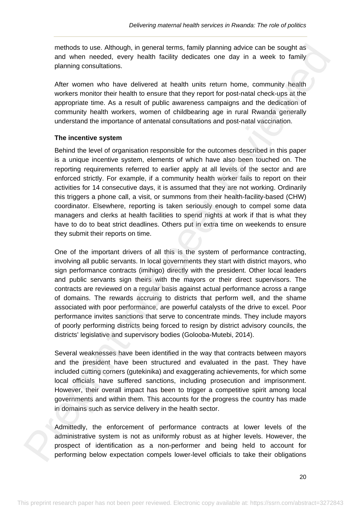methods to use. Although, in general terms, family planning advice can be sought as and when needed, every health facility dedicates one day in a week to family planning consultations.

After women who have delivered at health units return home, community health workers monitor their health to ensure that they report for post-natal check-ups at the appropriate time. As a result of public awareness campaigns and the dedication of community health workers, women of childbearing age in rural Rwanda generally understand the importance of antenatal consultations and post-natal vaccination.

#### **The incentive system**

Behind the level of organisation responsible for the outcomes described in this paper is a unique incentive system, elements of which have also been touched on. The reporting requirements referred to earlier apply at all levels of the sector and are enforced strictly. For example, if a community health worker fails to report on their activities for 14 consecutive days, it is assumed that they are not working. Ordinarily this triggers a phone call, a visit, or summons from their health-facility-based (CHW) coordinator. Elsewhere, reporting is taken seriously enough to compel some data managers and clerks at health facilities to spend nights at work if that is what they have to do to beat strict deadlines. Others put in extra time on weekends to ensure they submit their reports on time.

One of the important drivers of all this is the system of performance contracting, involving all public servants. In local governments they start with district mayors, who sign performance contracts (imihigo) directly with the president. Other local leaders and public servants sign theirs with the mayors or their direct supervisors. The contracts are reviewed on a regular basis against actual performance across a range of domains. The rewards accruing to districts that perform well, and the shame associated with poor performance, are powerful catalysts of the drive to excel. Poor performance invites sanctions that serve to concentrate minds. They include mayors of poorly performing districts being forced to resign by district advisory councils, the districts' legislative and supervisory bodies (Golooba-Mutebi, 2014). methods to use. Although, in general terms, family planning advice san be sought as<br>methods on the method of the present section in a most to family planning consultations.<br>
Altar women who have delivered at health units r

Several weaknesses have been identified in the way that contracts between mayors and the president have been structured and evaluated in the past. They have included cutting corners (gutekinika) and exaggerating achievements, for which some local officials have suffered sanctions, including prosecution and imprisonment. However, their overall impact has been to trigger a competitive spirit among local governments and within them. This accounts for the progress the country has made in domains such as service delivery in the health sector.

Admittedly, the enforcement of performance contracts at lower levels of the administrative system is not as uniformly robust as at higher levels. However, the prospect of identification as a non-performer and being held to account for performing below expectation compels lower-level officials to take their obligations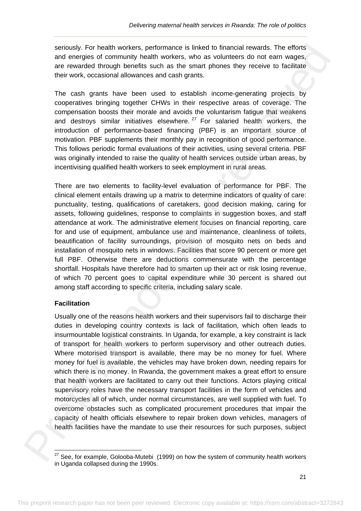seriously. For health workers, performance is linked to financial rewards. The efforts and energies of community health workers, who as volunteers do not earn wages, are rewarded through benefits such as the smart phones they receive to facilitate their work, occasional allowances and cash grants.

The cash grants have been used to establish income-generating projects by cooperatives bringing together CHWs in their respective areas of coverage. The compensation boosts their morale and avoids the voluntarism fatigue that weakens and destroys similar initiatives elsewhere.  $27$  For salaried health workers, the introduction of performance-based financing (PBF) is an important source of motivation. PBF supplements their monthly pay in recognition of good performance. This follows periodic formal evaluations of their activities, using several criteria. PBF was originally intended to raise the quality of health services outside urban areas, by incentivising qualified health workers to seek employment in rural areas.

There are two elements to facility-level evaluation of performance for PBF. The clinical element entails drawing up a matrix to determine indicators of quality of care: punctuality, testing, qualifications of caretakers, good decision making, caring for assets, following guidelines, response to complaints in suggestion boxes, and staff attendance at work. The administrative element focuses on financial reporting, care for and use of equipment, ambulance use and maintenance, cleanliness of toilets, beautification of facility surroundings, provision of mosquito nets on beds and installation of mosquito nets in windows. Facilities that score 90 percent or more get full PBF. Otherwise there are deductions commensurate with the percentage shortfall. Hospitals have therefore had to smarten up their act or risk losing revenue, of which 70 percent goes to capital expenditure while 30 percent is shared out among staff according to specific criteria, including salary scale.

#### **Facilitation**

 

Usually one of the reasons health workers and their supervisors fail to discharge their duties in developing country contexts is lack of facilitation, which often leads to insurmountable logistical constraints. In Uganda, for example, a key constraint is lack of transport for health workers to perform supervisory and other outreach duties. Where motorised transport is available, there may be no money for fuel. Where money for fuel is available, the vehicles may have broken down, needing repairs for which there is no money. In Rwanda, the government makes a great effort to ensure that health workers are facilitated to carry out their functions. Actors playing critical supervisory roles have the necessary transport facilities in the form of vehicles and motorcycles all of which, under normal circumstances, are well supplied with fuel. To overcome obstacles such as complicated procurement procedures that impair the capacity of health officials elsewhere to repair broken down vehicles, managers of health facilities have the mandate to use their resources for such purposes, subject smotoky, For health workers, performance is linked to financial reviewes, The efforts and the preprise of the content of the content of the content of the content of the content of the content of the content of the content

 $27$  See, for example, Golooba-Mutebi (1999) on how the system of community health workers in Uganda collapsed during the 1990s.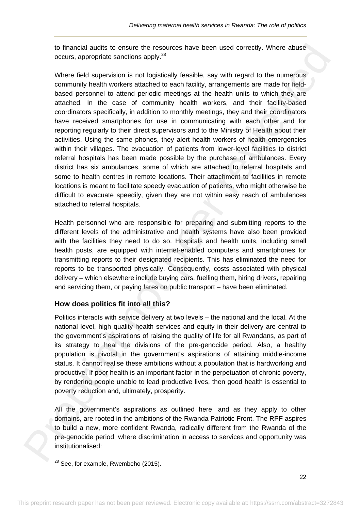to financial audits to ensure the resources have been used correctly. Where abuse occurs, appropriate sanctions apply.28

Where field supervision is not logistically feasible, say with regard to the numerous community health workers attached to each facility, arrangements are made for fieldbased personnel to attend periodic meetings at the health units to which they are attached. In the case of community health workers, and their facility-based coordinators specifically, in addition to monthly meetings, they and their coordinators have received smartphones for use in communicating with each other and for reporting regularly to their direct supervisors and to the Ministry of Health about their activities. Using the same phones, they alert health workers of health emergencies within their villages. The evacuation of patients from lower-level facilities to district referral hospitals has been made possible by the purchase of ambulances. Every district has six ambulances, some of which are attached to referral hospitals and some to health centres in remote locations. Their attachment to facilities in remote locations is meant to facilitate speedy evacuation of patients, who might otherwise be difficult to evacuate speedily, given they are not within easy reach of ambulances attached to referral hospitals. to friencolar attention to ensure the resources have been used correctly, where abuse<br>to cours, appropriate sanctions apply.<sup>48</sup><br>Where field supervision is not logitatizally feasible, say with regard to the numerious<br>commu

Health personnel who are responsible for preparing and submitting reports to the different levels of the administrative and health systems have also been provided with the facilities they need to do so. Hospitals and health units, including small health posts, are equipped with internet-enabled computers and smartphones for transmitting reports to their designated recipients. This has eliminated the need for reports to be transported physically. Consequently, costs associated with physical delivery – which elsewhere include buying cars, fuelling them, hiring drivers, repairing and servicing them, or paying fares on public transport – have been eliminated.

# **How does politics fit into all this?**

Politics interacts with service delivery at two levels – the national and the local. At the national level, high quality health services and equity in their delivery are central to the government's aspirations of raising the quality of life for all Rwandans, as part of its strategy to heal the divisions of the pre-genocide period. Also, a healthy population is pivotal in the government's aspirations of attaining middle-income status. It cannot realise these ambitions without a population that is hardworking and productive. If poor health is an important factor in the perpetuation of chronic poverty, by rendering people unable to lead productive lives, then good health is essential to poverty reduction and, ultimately, prosperity.

All the government's aspirations as outlined here, and as they apply to other domains, are rooted in the ambitions of the Rwanda Patriotic Front. The RPF aspires to build a new, more confident Rwanda, radically different from the Rwanda of the pre-genocide period, where discrimination in access to services and opportunity was institutionalised:

  $28$  See, for example, Rwembeho (2015).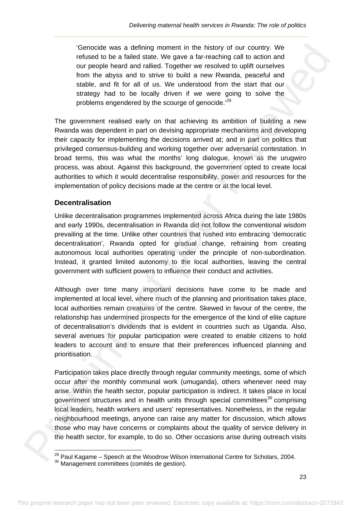'Genocide was a defining moment in the history of our country. We refused to be a failed state. We gave a far-reaching call to action and our people heard and rallied. Together we resolved to uplift ourselves from the abyss and to strive to build a new Rwanda, peaceful and stable, and fit for all of us. We understood from the start that our strategy had to be locally driven if we were going to solve the problems engendered by the scourge of genocide.<sup>29</sup>

The government realised early on that achieving its ambition of building a new Rwanda was dependent in part on devising appropriate mechanisms and developing their capacity for implementing the decisions arrived at; and in part on politics that privileged consensus-building and working together over adversarial contestation. In broad terms, this was what the months' long dialogue, known as the urugwiro process, was about. Against this background, the government opted to create local authorities to which it would decentralise responsibility, power and resources for the implementation of policy decisions made at the centre or at the local level.

# **Decentralisation**

 

Unlike decentralisation programmes implemented across Africa during the late 1980s and early 1990s, decentralisation in Rwanda did not follow the conventional wisdom prevailing at the time. Unlike other countries that rushed into embracing 'democratic decentralisation', Rwanda opted for gradual change, refraining from creating autonomous local authorities operating under the principle of non-subordination. Instead, it granted limited autonomy to the local authorities, leaving the central government with sufficient powers to influence their conduct and activities.

Although over time many important decisions have come to be made and implemented at local level, where much of the planning and prioritisation takes place, local authorities remain creatures of the centre. Skewed in favour of the centre, the relationship has undermined prospects for the emergence of the kind of elite capture of decentralisation's dividends that is evident in countries such as Uganda. Also, several avenues for popular participation were created to enable citizens to hold leaders to account and to ensure that their preferences influenced planning and prioritisation. Cenocole was a defining moment in the Helsloy of our country. We<br>consider the centor of the centor of the centor of the centor of the centor<br>of the centor of the centor of the centor of the centor of the centor of people f

Participation takes place directly through regular community meetings, some of which occur after the monthly communal work (umuganda), others whenever need may arise. Within the health sector, popular participation is indirect. It takes place in local government structures and in health units through special committees<sup>30</sup> comprising local leaders, health workers and users' representatives. Nonetheless, in the regular neighbourhood meetings, anyone can raise any matter for discussion, which allows those who may have concerns or complaints about the quality of service delivery in the health sector, for example, to do so. Other occasions arise during outreach visits

<sup>&</sup>lt;sup>29</sup> Paul Kagame – Speech at the Woodrow Wilson International Centre for Scholars, 2004.<br><sup>30</sup> Management committees (comités de gestion).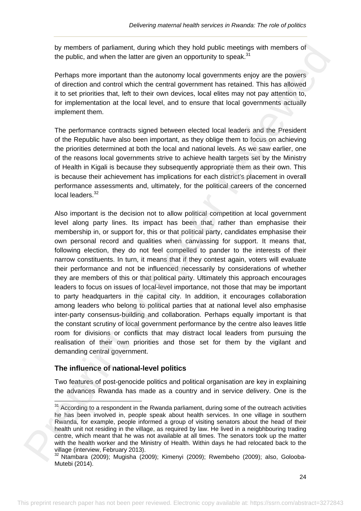by members of parliament, during which they hold public meetings with members of the public, and when the latter are given an opportunity to speak.<sup>31</sup>

Perhaps more important than the autonomy local governments enjoy are the powers of direction and control which the central government has retained. This has allowed it to set priorities that, left to their own devices, local elites may not pay attention to, for implementation at the local level, and to ensure that local governments actually implement them.

The performance contracts signed between elected local leaders and the President of the Republic have also been important, as they oblige them to focus on achieving the priorities determined at both the local and national levels. As we saw earlier, one of the reasons local governments strive to achieve health targets set by the Ministry of Health in Kigali is because they subsequently appropriate them as their own. This is because their achievement has implications for each district's placement in overall performance assessments and, ultimately, for the political careers of the concerned local leaders.<sup>32</sup>

Also important is the decision not to allow political competition at local government level along party lines. Its impact has been that, rather than emphasise their membership in, or support for, this or that political party, candidates emphasise their own personal record and qualities when canvassing for support. It means that, following election, they do not feel compelled to pander to the interests of their narrow constituents. In turn, it means that if they contest again, voters will evaluate their performance and not be influenced necessarily by considerations of whether they are members of this or that political party. Ultimately this approach encourages leaders to focus on issues of local-level importance, not those that may be important to party headquarters in the capital city. In addition, it encourages collaboration among leaders who belong to political parties that at national level also emphasise inter-party consensus-building and collaboration. Perhaps equally important is that the constant scrutiny of local government performance by the centre also leaves little room for divisions or conflicts that may distract local leaders from pursuing the realisation of their own priorities and those set for them by the vigilant and demanding central government. by members of patientesi, during which they hold public meetings with members of<br>the public, and whother hall that are given in the portunity to speak.<sup>34</sup><br>Petrhap more important than the automorpy local governments enjoy

## **The influence of national-level politics**

 $\overbrace{\hspace{25mm}}$ 

Two features of post-genocide politics and political organisation are key in explaining the advances Rwanda has made as a country and in service delivery. One is the

 $31$  According to a respondent in the Rwanda parliament, during some of the outreach activities he has been involved in, people speak about health services. In one village in southern Rwanda, for example, people informed a group of visiting senators about the head of their health unit not residing in the village, as required by law. He lived in a neigbhbouring trading centre, which meant that he was not available at all times. The senators took up the matter with the health worker and the Ministry of Health. Within days he had relocated back to the village (interview, February 2013).

<sup>32</sup> Ntambara (2009); Mugisha (2009); Kimenyi (2009); Rwembeho (2009); also, Golooba-Mutebi (2014).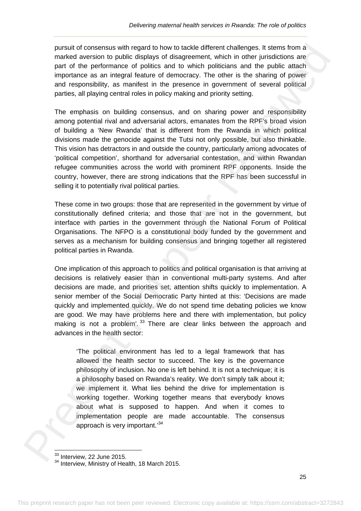pursuit of consensus with regard to how to tackle different challenges. It stems from a marked aversion to public displays of disagreement, which in other jurisdictions are part of the performance of politics and to which politicians and the public attach importance as an integral feature of democracy. The other is the sharing of power and responsibility, as manifest in the presence in government of several political parties, all playing central roles in policy making and priority setting.

The emphasis on building consensus, and on sharing power and responsibility among potential rival and adversarial actors, emanates from the RPF's broad vision of building a 'New Rwanda' that is different from the Rwanda in which political divisions made the genocide against the Tutsi not only possible, but also thinkable. This vision has detractors in and outside the country, particularly among advocates of 'political competition', shorthand for adversarial contestation, and within Rwandan refugee communities across the world with prominent RPF opponents. Inside the country, however, there are strong indications that the RPF has been successful in selling it to potentially rival political parties. pursuit of consensus with regnot to how to tackle different challenges. It seens than a propriate of the prefirement of optical and the matter in the prefirement of the prefirement of the prefirement of the prefirement of

These come in two groups: those that are represented in the government by virtue of constitutionally defined criteria; and those that are not in the government, but interface with parties in the government through the National Forum of Political Organisations. The NFPO is a constitutional body funded by the government and serves as a mechanism for building consensus and bringing together all registered political parties in Rwanda.

One implication of this approach to politics and political organisation is that arriving at decisions is relatively easier than in conventional multi-party systems. And after decisions are made, and priorities set, attention shifts quickly to implementation. A senior member of the Social Democratic Party hinted at this: 'Decisions are made quickly and implemented quickly. We do not spend time debating policies we know are good. We may have problems here and there with implementation, but policy making is not a problem'.<sup>33</sup> There are clear links between the approach and advances in the health sector:

'The political environment has led to a legal framework that has allowed the health sector to succeed. The key is the governance philosophy of inclusion. No one is left behind. It is not a technique; it is a philosophy based on Rwanda's reality. We don't simply talk about it; we implement it. What lies behind the drive for implementation is working together. Working together means that everybody knows about what is supposed to happen. And when it comes to implementation people are made accountable. The consensus approach is very important.'<sup>34</sup>

 $33$  Interview, 22 June 2015.

<sup>&</sup>lt;sup>34</sup> Interview, *LL* band Loves.<br><sup>34</sup> Interview, Ministry of Health, 18 March 2015.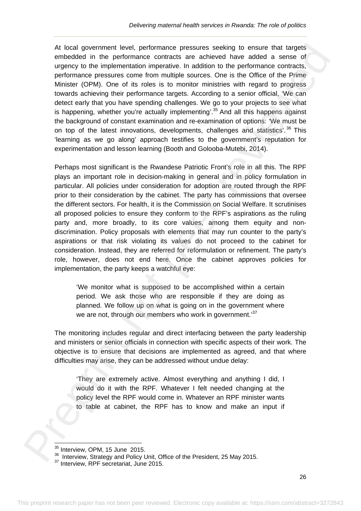At local government level, performance pressures seeking to ensure that targets embedded in the performance contracts are achieved have added a sense of urgency to the implementation imperative. In addition to the performance contracts, performance pressures come from multiple sources. One is the Office of the Prime Minister (OPM). One of its roles is to monitor ministries with regard to progress towards achieving their performance targets. According to a senior official, 'We can detect early that you have spending challenges. We go to your projects to see what is happening, whether you're actually implementing'.<sup>35</sup> And all this happens against the background of constant examination and re-examination of options: 'We must be on top of the latest innovations, developments, challenges and statistics<sup>'</sup>.<sup>36</sup> This 'learning as we go along' approach testifies to the government's reputation for experimentation and lesson learning (Booth and Golooba-Mutebi, 2014). At local government level, performance pressures seeing to ensure that through the prepriation of the preformance contracts, the deting of the method of the performance contracts, performance pressures cannot form multipl

Perhaps most significant is the Rwandese Patriotic Front's role in all this. The RPF plays an important role in decision-making in general and in policy formulation in particular. All policies under consideration for adoption are routed through the RPF prior to their consideration by the cabinet. The party has commissions that oversee the different sectors. For health, it is the Commission on Social Welfare. It scrutinises all proposed policies to ensure they conform to the RPF's aspirations as the ruling party and, more broadly, to its core values, among them equity and nondiscrimination. Policy proposals with elements that may run counter to the party's aspirations or that risk violating its values do not proceed to the cabinet for consideration. Instead, they are referred for reformulation or refinement. The party's role, however, does not end here. Once the cabinet approves policies for implementation, the party keeps a watchful eye:

'We monitor what is supposed to be accomplished within a certain period. We ask those who are responsible if they are doing as planned. We follow up on what is going on in the government where we are not, through our members who work in government.<sup>37</sup>

The monitoring includes regular and direct interfacing between the party leadership and ministers or senior officials in connection with specific aspects of their work. The objective is to ensure that decisions are implemented as agreed, and that where difficulties may arise, they can be addressed without undue delay:

'They are extremely active. Almost everything and anything I did, I would do it with the RPF. Whatever I felt needed changing at the policy level the RPF would come in. Whatever an RPF minister wants to table at cabinet, the RPF has to know and make an input if

  $35$  Interview, OPM, 15 June 2015.

<sup>36</sup> Interview, Strategy and Policy Unit, Office of the President, 25 May 2015.<br><sup>37</sup> Interview, RPF secretariat, June 2015.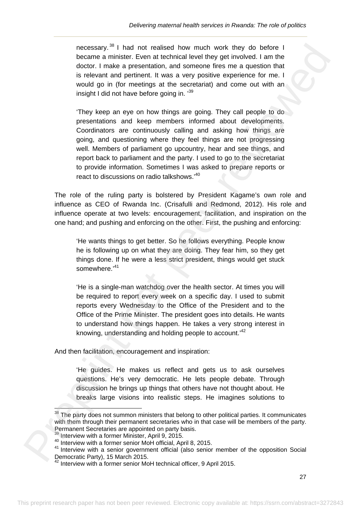necessary. 38 I had not realised how much work they do before I became a minister. Even at technical level they get involved. I am the doctor. I make a presentation, and someone fires me a question that is relevant and pertinent. It was a very positive experience for me. I would go in (for meetings at the secretariat) and come out with an insight I did not have before going in. '39

'They keep an eye on how things are going. They call people to do presentations and keep members informed about developments. Coordinators are continuously calling and asking how things are going, and questioning where they feel things are not progressing well. Members of parliament go upcountry, hear and see things, and report back to parliament and the party. I used to go to the secretariat to provide information. Sometimes I was asked to prepare reports or react to discussions on radio talkshows.'40 necessary.<sup>34</sup> I had not nealised how much work they do before 1<br>boccamo animistor, Even at technical lovel they get involved 1 am the<br>doctor, in make a presentation, and someone lines me a question that<br>is relieved and pe

The role of the ruling party is bolstered by President Kagame's own role and influence as CEO of Rwanda Inc. (Crisafulli and Redmond, 2012). His role and influence operate at two levels: encouragement, facilitation, and inspiration on the one hand; and pushing and enforcing on the other. First, the pushing and enforcing:

'He wants things to get better. So he follows everything. People know he is following up on what they are doing. They fear him, so they get things done. If he were a less strict president, things would get stuck somewhere.<sup>'41</sup>

'He is a single-man watchdog over the health sector. At times you will be required to report every week on a specific day. I used to submit reports every Wednesday to the Office of the President and to the Office of the Prime Minister. The president goes into details. He wants to understand how things happen. He takes a very strong interest in knowing, understanding and holding people to account.'<sup>42</sup>

And then facilitation, encouragement and inspiration:

'He guides. He makes us reflect and gets us to ask ourselves questions. He's very democratic. He lets people debate. Through discussion he brings up things that others have not thought about. He breaks large visions into realistic steps. He imagines solutions to

 $\overbrace{\hspace{25mm}}$ 

The party does not summon ministers that belong to other political parties. It communicates with them through their permanent secretaries who in that case will be members of the party. Permanent Secretaries are appointed on party basis.<br><sup>39</sup> Interview with a former Minister. April 9, 2015.

<sup>&</sup>lt;sup>40</sup> Interview with a former senior MoH official, April 8, 2015.<br><sup>41</sup> Interview with a senior government official (also senior member of the opposition Social Democratic Party), 15 March 2015.

 $42$  Interview with a former senior MoH technical officer, 9 April 2015.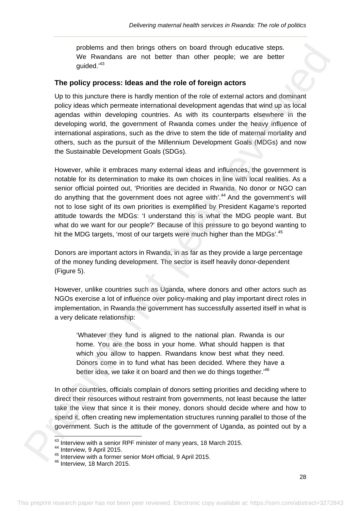problems and then brings others on board through educative steps. We Rwandans are not better than other people; we are better guided.'43

#### **The policy process: Ideas and the role of foreign actors**

Up to this juncture there is hardly mention of the role of external actors and dominant policy ideas which permeate international development agendas that wind up as local agendas within developing countries. As with its counterparts elsewhere in the developing world, the government of Rwanda comes under the heavy influence of international aspirations, such as the drive to stem the tide of maternal mortality and others, such as the pursuit of the Millennium Development Goals (MDGs) and now the Sustainable Development Goals (SDGs).

However, while it embraces many external ideas and influences, the government is notable for its determination to make its own choices in line with local realities. As a senior official pointed out, 'Priorities are decided in Rwanda. No donor or NGO can do anything that the government does not agree with<sup>'44</sup> And the government's will not to lose sight of its own priorities is exemplified by President Kagame's reported attitude towards the MDGs: 'I understand this is what the MDG people want. But what do we want for our people?' Because of this pressure to go beyond wanting to hit the MDG targets, 'most of our targets were much higher than the MDGs'.<sup>45</sup> problems and then bring onther bring only and through educative steps.<br>
We Rwandans are not better than other propies we are tests.<br>
guided."3<br>
The policy process: Ideas and the role of foreign actors<br>
Up to this juncture

Donors are important actors in Rwanda, in as far as they provide a large percentage of the money funding development. The sector is itself heavily donor-dependent (Figure 5).

However, unlike countries such as Uganda, where donors and other actors such as NGOs exercise a lot of influence over policy-making and play important direct roles in implementation, in Rwanda the government has successfully asserted itself in what is a very delicate relationship:

'Whatever they fund is aligned to the national plan. Rwanda is our home. You are the boss in your home. What should happen is that which you allow to happen. Rwandans know best what they need. Donors come in to fund what has been decided. Where they have a better idea, we take it on board and then we do things together.<sup>46</sup>

In other countries, officials complain of donors setting priorities and deciding where to direct their resources without restraint from governments, not least because the latter take the view that since it is their money, donors should decide where and how to spend it, often creating new implementation structures running parallel to those of the government. Such is the attitude of the government of Uganda, as pointed out by a

<sup>&</sup>lt;sup>43</sup> Interview with a senior RPF minister of many years, 18 March 2015.

<sup>&</sup>lt;sup>44</sup> Interview, 9 April 2015.<br><sup>45</sup> Interview with a former senior MoH official, 9 April 2015.<br><sup>46</sup> Interview, 18 March 2015.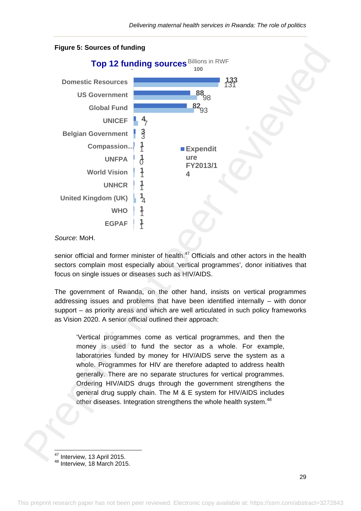

#### *Source*: MoH.

senior official and former minister of health. $47$  Officials and other actors in the health sectors complain most especially about 'vertical programmes', donor initiatives that focus on single issues or diseases such as HIV/AIDS.

The government of Rwanda, on the other hand, insists on vertical programmes addressing issues and problems that have been identified internally – with donor support – as priority areas and which are well articulated in such policy frameworks as Vision 2020. A senior official outlined their approach:

'Vertical programmes come as vertical programmes, and then the money is used to fund the sector as a whole. For example, laboratories funded by money for HIV/AIDS serve the system as a whole. Programmes for HIV are therefore adapted to address health generally. There are no separate structures for vertical programmes. Ordering HIV/AIDS drugs through the government strengthens the general drug supply chain. The M & E system for HIV/AIDS includes other diseases. Integration strengthens the whole health system.<sup>48</sup>

 $^{47}$  Interview, 13 April 2015.<br> $^{48}$  Interview, 18 March 2015.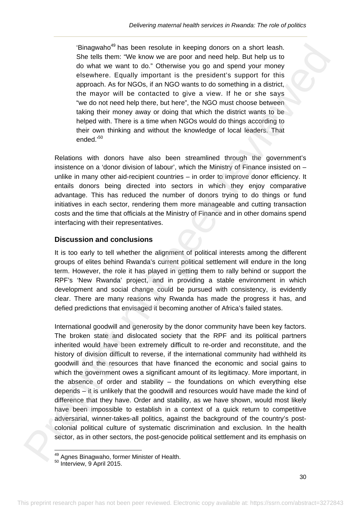'Binagwaho<sup>49</sup> has been resolute in keeping donors on a short leash. She tells them: "We know we are poor and need help. But help us to do what we want to do." Otherwise you go and spend your money elsewhere. Equally important is the president's support for this approach. As for NGOs, if an NGO wants to do something in a district, the mayor will be contacted to give a view. If he or she says "we do not need help there, but here", the NGO must choose between taking their money away or doing that which the district wants to be helped with. There is a time when NGOs would do things according to their own thinking and without the knowledge of local leaders. That ended.'50

Relations with donors have also been streamlined through the government's insistence on a 'donor division of labour', which the Ministry of Finance insisted on – unlike in many other aid-recipient countries – in order to improve donor efficiency. It entails donors being directed into sectors in which they enjoy comparative advantage. This has reduced the number of donors trying to do things or fund initiatives in each sector, rendering them more manageable and cutting transaction costs and the time that officials at the Ministry of Finance and in other domains spend interfacing with their representatives.

# **Discussion and conclusions**

It is too early to tell whether the alignment of political interests among the different groups of elites behind Rwanda's current political settlement will endure in the long term. However, the role it has played in getting them to rally behind or support the RPF's 'New Rwanda' project, and in providing a stable environment in which development and social change could be pursued with consistency, is evidently clear. There are many reasons why Rwanda has made the progress it has, and defied predictions that envisaged it becoming another of Africa's failed states.

International goodwill and generosity by the donor community have been key factors. The broken state and dislocated society that the RPF and its political partners inherited would have been extremely difficult to re-order and reconstitute, and the history of division difficult to reverse, if the international community had withheld its goodwill and the resources that have financed the economic and social gains to which the government owes a significant amount of its legitimacy. More important, in the absence of order and stability – the foundations on which everything else depends – it is unlikely that the goodwill and resources would have made the kind of difference that they have. Order and stability, as we have shown, would most likely have been impossible to establish in a context of a quick return to competitive adversarial, winner-takes-all politics, against the background of the country's postcolonial political culture of systematic discrimination and exclusion. In the health sector, as in other sectors, the post-genocide political settlement and its emphasis on Binayanho<sup>m</sup> these them is restolute in keeping doors on a short least-<br>Shor tulls them. "We know we are proor and noted them. But help to<br>do what we want to do? Ollterwise you go and spend your money<br>of selections. Also W

 <sup>49</sup> Agnes Binagwaho, former Minister of Health.<br><sup>50</sup> Interview, 9 April 2015.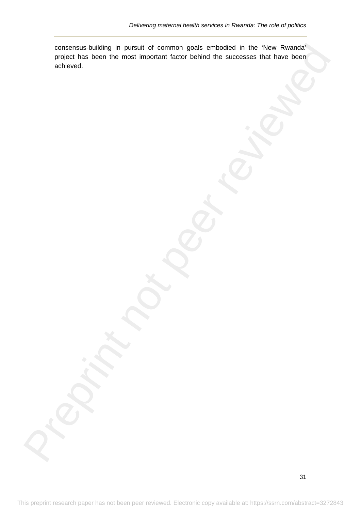consensus-building in pursuit of common goals embodied in the 'New Rwanda' project has been the most important factor behind the successes that have been achieved. monset authority in pursual of committee of controlled in the theoretical controlled in the controlled in the controlled in the controlled in the second Park Intervention (according the second of the first that because the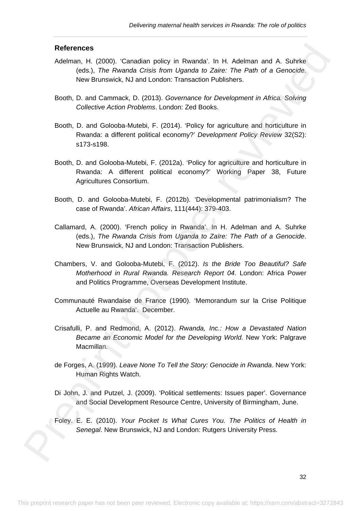#### **References**

- Adelman, H. (2000). 'Canadian policy in Rwanda'. In H. Adelman and A. Suhrke (eds.), *The Rwanda Crisis from Uganda to Zaire: The Path of a Genocide*. New Brunswick, NJ and London: Transaction Publishers.
- Booth, D. and Cammack, D. (2013). *Governance for Development in Africa. Solving Collective Action Problems*. London: Zed Books.
- Booth, D. and Golooba-Mutebi, F. (2014). 'Policy for agriculture and horticulture in Rwanda: a different political economy?' *Development Policy Review* 32(S2): s173-s198.
- Booth, D. and Golooba-Mutebi, F. (2012a). 'Policy for agriculture and horticulture in Rwanda: A different political economy?' Working Paper 38, Future Agricultures Consortium. References<br>
Adolarmum, H. (2000). Clanatian policy in Rwanda'. In H. Adolarmum of A. Schrike<br>
Media: The Rwanda Catia from Uganda to Zaine: The Reb of a Genocide.<br>
New Breathers NJ and Caroline Transaction Policines.<br>
Boot
	- Booth, D. and Golooba-Mutebi, F. (2012b). 'Developmental patrimonialism? The case of Rwanda'. *African Affairs*, 111(444): 379-403.
	- Callamard, A. (2000). 'French policy in Rwanda'. In H. Adelman and A. Suhrke (eds.), *The Rwanda Crisis from Uganda to Zaïre: The Path of a Genocide*. New Brunswick, NJ and London: Transaction Publishers.
	- Chambers, V. and Golooba-Mutebi, F. (2012). *Is the Bride Too Beautiful? Safe Motherhood in Rural Rwanda. Research Report 04*. London: Africa Power and Politics Programme, Overseas Development Institute.
	- Communauté Rwandaise de France (1990). 'Memorandum sur la Crise Politique Actuelle au Rwanda'. December.
	- Crisafulli, P. and Redmond, A. (2012). *Rwanda, Inc.: How a Devastated Nation Became an Economic Model for the Developing World*. New York: Palgrave Macmillan.
	- de Forges, A. (1999). *Leave None To Tell the Story: Genocide in Rwanda*. New York: Human Rights Watch.
	- Di John, J. and Putzel, J. (2009). 'Political settlements: Issues paper'. Governance and Social Development Resource Centre, University of Birmingham, June.
	- Foley. E. E. (2010). *Your Pocket Is What Cures You. The Politics of Health in Senegal*. New Brunswick, NJ and London: Rutgers University Press.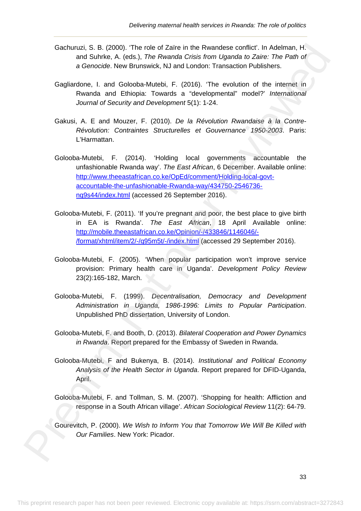- Gachuruzi, S. B. (2000). 'The role of Zaïre in the Rwandese conflict'. In Adelman, H. and Suhrke, A. (eds.), *The Rwanda Crisis from Uganda to Zaire: The Path of a Genocide*. New Brunswick, NJ and London: Transaction Publishers.
- Gagliardone, I. and Golooba-Mutebi, F. (2016). 'The evolution of the internet in Rwanda and Ethiopia: Towards a "developmental" model?' *International Journal of Security and Development* 5(1): 1-24.
- Gakusi, A. E and Mouzer, F. (2010). *De la Révolution Rwandaise à la Contre-Révolution: Contraintes Structurelles et Gouvernance 1950-2003*. Paris: L'Harmattan.
- Golooba-Mutebi, F. (2014). 'Holding local governments accountable the unfashionable Rwanda way'. *The East African*, 6 December. Available online: http://www.theeastafrican.co.ke/OpEd/comment/Holding-local-govtaccountable-the-unfashionable-Rwanda-way/434750-2546736 nq9s44/index.html (accessed 26 September 2016). Gechurch, F. (2011). The rela- of Zarish in the Rwandes contribut: The Adelman, H. detectors of the Rwandes contribution of the California Control of General California (and California California Control of General Califo
	- Golooba-Mutebi, F. (2011). 'If you're pregnant and poor, the best place to give birth in EA is Rwanda'. *The East African*, 18 April Available online: http://mobile.theeastafrican.co.ke/Opinion/-/433846/1146046/- /format/xhtml/item/2/-/q95m5t/-/index.html (accessed 29 September 2016).
	- Golooba-Mutebi, F. (2005). 'When popular participation won't improve service provision: Primary health care in Uganda'. *Development Policy Review* 23(2):165-182, March.
	- Golooba-Mutebi, F. (1999). *Decentralisation, Democracy and Development Administration in Uganda, 1986-1996: Limits to Popular Participation*. Unpublished PhD dissertation, University of London.
	- Golooba-Mutebi, F. and Booth, D. (2013). *Bilateral Cooperation and Power Dynamics in Rwanda*. Report prepared for the Embassy of Sweden in Rwanda.
	- Golooba-Mutebi, F and Bukenya, B. (2014). *Institutional and Political Economy Analysis of the Health Sector in Uganda*. Report prepared for DFID-Uganda, April.
	- Golooba-Mutebi, F. and Tollman, S. M. (2007). 'Shopping for health: Affliction and response in a South African village'. *African Sociological Review* 11(2): 64-79.
	- Gourevitch, P. (2000). *We Wish to Inform You that Tomorrow We Will Be Killed with Our Families*. New York: Picador.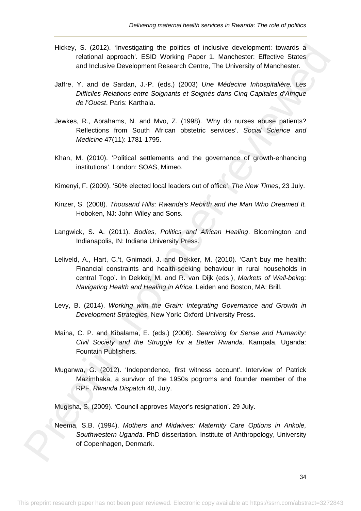- Hickey, S. (2012). 'Investigating the politics of inclusive development: towards a relational approach'. ESID Working Paper 1. Manchester: Effective States and Inclusive Development Research Centre, The University of Manchester.
- Jaffre, Y. and de Sardan, J.-P. (eds.) (2003) *Une Médecine Inhospitalière. Les Difficiles Relations entre Soignants et Soignés dans Cinq Capitales d'Afrique de l'Ouest*. Paris: Karthala.
- Jewkes, R., Abrahams, N. and Mvo, Z. (1998). 'Why do nurses abuse patients? Reflections from South African obstetric services'. *Social Science and Medicine* 47(11): 1781-1795.
- Khan, M. (2010). 'Political settlements and the governance of growth-enhancing institutions'. London: SOAS, Mimeo.
- Kimenyi, F. (2009). '50% elected local leaders out of office'. *The New Times*, 23 July.
- Kinzer, S. (2008). *Thousand Hills: Rwanda's Rebirth and the Man Who Dreamed It.*  Hoboken, NJ: John Wiley and Sons.
- Langwick, S. A. (2011). *Bodies, Politics and African Healing*. Bloomington and Indianapolis, IN: Indiana University Press.
- Leliveld, A., Hart, C.'t, Gnimadi, J. and Dekker, M. (2010). 'Can't buy me health: Financial constraints and health-seeking behaviour in rural households in central Togo'. In Dekker, M. and R. van Dijk (eds.), *Markets of Well-being: Navigating Health and Healing in Africa*. Leiden and Boston, MA: Brill. Hickey, S. (20012). Twelfigithing the politics of inclusive development: towatds a<br>
and inclusive Development Research Centre, The University of Kanchester.<br>
2016 The University of Kanchester.<br>
2016 The University of Kanch
	- Levy, B. (2014). *Working with the Grain: Integrating Governance and Growth in Development Strategies*. New York: Oxford University Press.
	- Maina, C. P. and Kibalama, E. (eds.) (2006). *Searching for Sense and Humanity: Civil Society and the Struggle for a Better Rwanda*. Kampala, Uganda: Fountain Publishers.
	- Muganwa, G. (2012). 'Independence, first witness account'. Interview of Patrick Mazimhaka, a survivor of the 1950s pogroms and founder member of the RPF. *Rwanda Dispatch* 48, July.
	- Mugisha, S. (2009). 'Council approves Mayor's resignation'. 29 July.
	- Neema, S.B. (1994). *Mothers and Midwives: Maternity Care Options in Ankole, Southwestern Uganda*. PhD dissertation. Institute of Anthropology, University of Copenhagen, Denmark.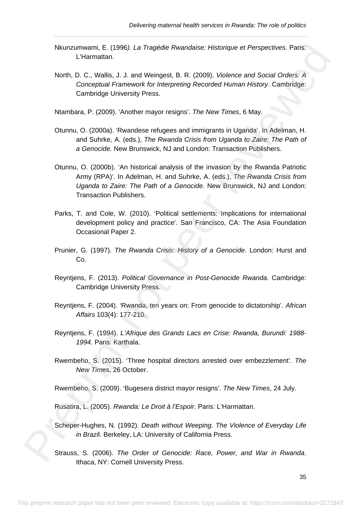- Nkunzumwami, E. (1996*). La Tragédie Rwandaise: Historique et Perspectives*. Paris: L'Harmattan.
- North, D. C., Wallis, J. J. and Weingest, B. R. (2009). *Violence and Social Orders: A Conceptual Framework for Interpreting Recorded Human History*. Cambridge: Cambridge University Press.

Ntambara, P. (2009). 'Another mayor resigns'. *The New Times*, 6 May.

- Otunnu, O. (2000a). 'Rwandese refugees and immigrants in Uganda'. In Adelman, H. and Suhrke, A. (eds.), *The Rwanda Crisis from Uganda to Zaire: The Path of a Genocide.* New Brunswick, NJ and London: Transaction Publishers.
- Otunnu, O. (2000b). 'An historical analysis of the invasion by the Rwanda Patriotic Army (RPA)'. In Adelman, H. and Suhrke, A. (eds.), *The Rwanda Crisis from Uganda to Zaire: The Path of a Genocide*. New Brunswick, NJ and London: Transaction Publishers. Nummummer. E. (1995). La Tragédie Rwandelee: Historique et Perspectives. Paris.<br>
North, D. C., Wallis, J. J. and Weingest, B. R. (2009). Volvince and Social Orders: A<br>
Conceptual Framework for Intergreting Recorded Human H
	- Parks, T. and Cole, W. (2010). 'Political settlements: Implications for international development policy and practice'. San Francisco, CA: The Asia Foundation Occasional Paper 2.
	- Prunier, G. (1997). *The Rwanda Crisis: History of a Genocide*. London: Hurst and Co.
	- Reyntjens, F. (2013). *Political Governance in Post-Genocide Rwanda*. Cambridge: Cambridge University Press.
	- Reyntjens, F. (2004). 'Rwanda, ten years on: From genocide to dictatorship'. *African Affairs* 103(4): 177-210.
	- Reyntjens, F. (1994). *L'Afrique des Grands Lacs en Crise: Rwanda, Burundi: 1988- 1994*. Paris: Karthala.
	- Rwembeho, S. (2015). 'Three hospital directors arrested over embezzlement'. *The New Tim*es, 26 October.

Rwembeho, S. (2009). 'Bugesera district mayor resigns'. *The New Times*, 24 July.

Rusatira, L. (2005). *Rwanda: Le Droit à l'Espoir*. Paris: L'Harmattan.

- Scheper-Hughes, N. (1992). *Death without Weeping. The Violence of Everyday Life in Brazi*l. Berkeley, LA: University of California Press.
- Strauss, S. (2006). *The Order of Genocide: Race, Power, and War in Rwanda*. Ithaca, NY: Cornell University Press.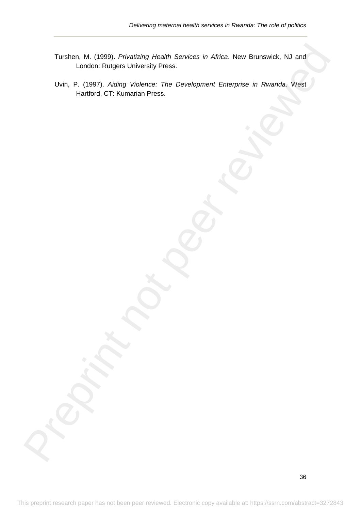- Turshen, M. (1999). *Privatizing Health Services in Africa*. New Brunswick, NJ and London: Rutgers University Press.
- Uvin, P. (1997). *Aiding Violence: The Development Enterprise in Rwanda*. West Hartford, CT: Kumarian Press. Turstich, M. (1099). Phivateleniy Houshi. Scrivices in Alinea. Now Blumewick, NJ and<br>
London: Rulgers University Piess.<br>
Unin. P. (1997). Atking Vielmens: The Development Enterprise in Ryanda, West<br>
Hartford, CT: Kumarian